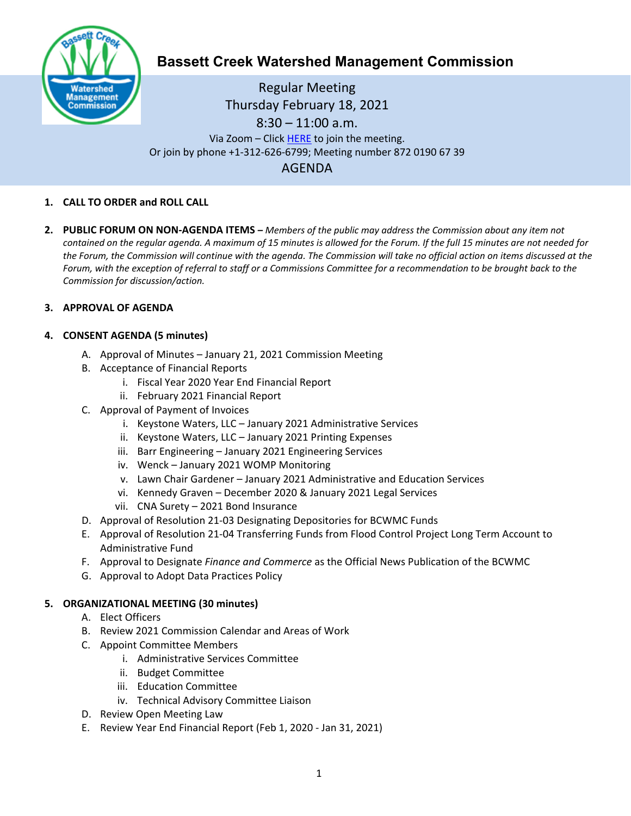

# **Bassett Creek Watershed Management Commission**

Regular Meeting Thursday February 18, 2021 8:30 – 11:00 a.m. Via Zoom – Clic[k HERE](https://us02web.zoom.us/j/87201906739) to join the meeting. Or join by phone +1-312-626-6799; Meeting number 872 0190 67 39 AGENDA

### **1. CALL TO ORDER and ROLL CALL**

**2. PUBLIC FORUM ON NON-AGENDA ITEMS –** *Members of the public may address the Commission about any item not contained on the regular agenda. A maximum of 15 minutes is allowed for the Forum. If the full 15 minutes are not needed for the Forum, the Commission will continue with the agenda. The Commission will take no official action on items discussed at the Forum, with the exception of referral to staff or a Commissions Committee for a recommendation to be brought back to the Commission for discussion/action.*

#### **3. APPROVAL OF AGENDA**

### **4. CONSENT AGENDA (5 minutes)**

- A. Approval of Minutes January 21, 2021 Commission Meeting
- B. Acceptance of Financial Reports
	- i. Fiscal Year 2020 Year End Financial Report
	- ii. February 2021 Financial Report
- C. Approval of Payment of Invoices
	- i. Keystone Waters, LLC January 2021 Administrative Services
	- ii. Keystone Waters, LLC January 2021 Printing Expenses
	- iii. Barr Engineering January 2021 Engineering Services
	- iv. Wenck January 2021 WOMP Monitoring
	- v. Lawn Chair Gardener January 2021 Administrative and Education Services
	- vi. Kennedy Graven December 2020 & January 2021 Legal Services
	- vii. CNA Surety 2021 Bond Insurance
- D. Approval of Resolution 21-03 Designating Depositories for BCWMC Funds
- E. Approval of Resolution 21-04 Transferring Funds from Flood Control Project Long Term Account to Administrative Fund
- F. Approval to Designate *Finance and Commerce* as the Official News Publication of the BCWMC
- G. Approval to Adopt Data Practices Policy

## **5. ORGANIZATIONAL MEETING (30 minutes)**

- A. Elect Officers
- B. Review 2021 Commission Calendar and Areas of Work
- C. Appoint Committee Members
	- i. Administrative Services Committee
	- ii. Budget Committee
	- iii. Education Committee
	- iv. Technical Advisory Committee Liaison
- D. Review Open Meeting Law
- E. Review Year End Financial Report (Feb 1, 2020 Jan 31, 2021)